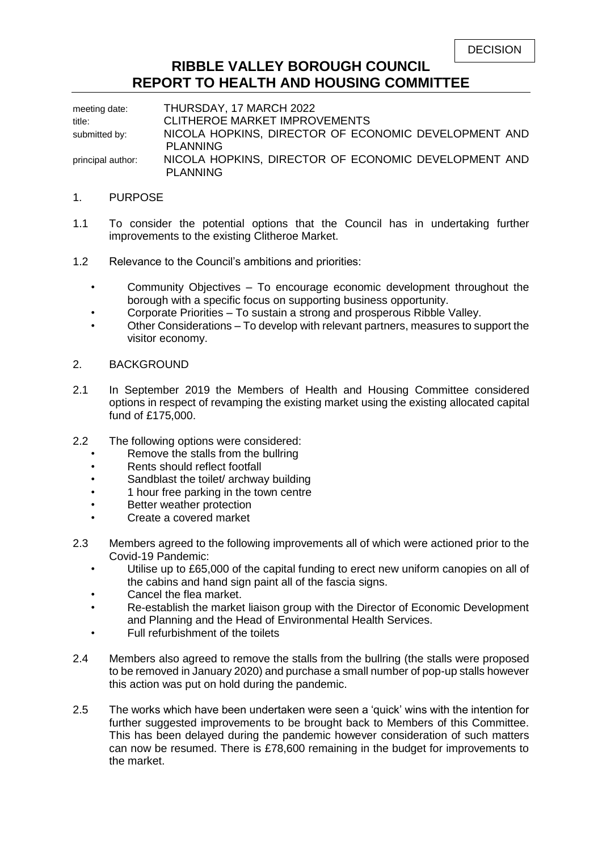| <b>DECISION</b> |  |
|-----------------|--|
|-----------------|--|

### **RIBBLE VALLEY BOROUGH COUNCIL REPORT TO HEALTH AND HOUSING COMMITTEE**

meeting date: THURSDAY, 17 MARCH 2022 title: CLITHEROE MARKET IMPROVEMENTS submitted by: NICOLA HOPKINS, DIRECTOR OF ECONOMIC DEVELOPMENT AND PLANNING principal author: NICOLA HOPKINS, DIRECTOR OF ECONOMIC DEVELOPMENT AND PLANNING

- 1. PURPOSE
- 1.1 To consider the potential options that the Council has in undertaking further improvements to the existing Clitheroe Market.
- 1.2 Relevance to the Council's ambitions and priorities:
	- Community Objectives To encourage economic development throughout the borough with a specific focus on supporting business opportunity.
	- Corporate Priorities To sustain a strong and prosperous Ribble Valley.
	- Other Considerations To develop with relevant partners, measures to support the visitor economy.
- 2. BACKGROUND
- 2.1 In September 2019 the Members of Health and Housing Committee considered options in respect of revamping the existing market using the existing allocated capital fund of £175,000.
- 2.2 The following options were considered:
	- Remove the stalls from the bullring
	- Rents should reflect footfall
	- Sandblast the toilet/ archway building
	- 1 hour free parking in the town centre
	- Better weather protection
	- Create a covered market
- 2.3 Members agreed to the following improvements all of which were actioned prior to the Covid-19 Pandemic:
	- Utilise up to £65,000 of the capital funding to erect new uniform canopies on all of the cabins and hand sign paint all of the fascia signs.
	- Cancel the flea market.
	- Re-establish the market liaison group with the Director of Economic Development and Planning and the Head of Environmental Health Services.
	- Full refurbishment of the toilets
- 2.4 Members also agreed to remove the stalls from the bullring (the stalls were proposed to be removed in January 2020) and purchase a small number of pop-up stalls however this action was put on hold during the pandemic.
- 2.5 The works which have been undertaken were seen a 'quick' wins with the intention for further suggested improvements to be brought back to Members of this Committee. This has been delayed during the pandemic however consideration of such matters can now be resumed. There is £78,600 remaining in the budget for improvements to the market.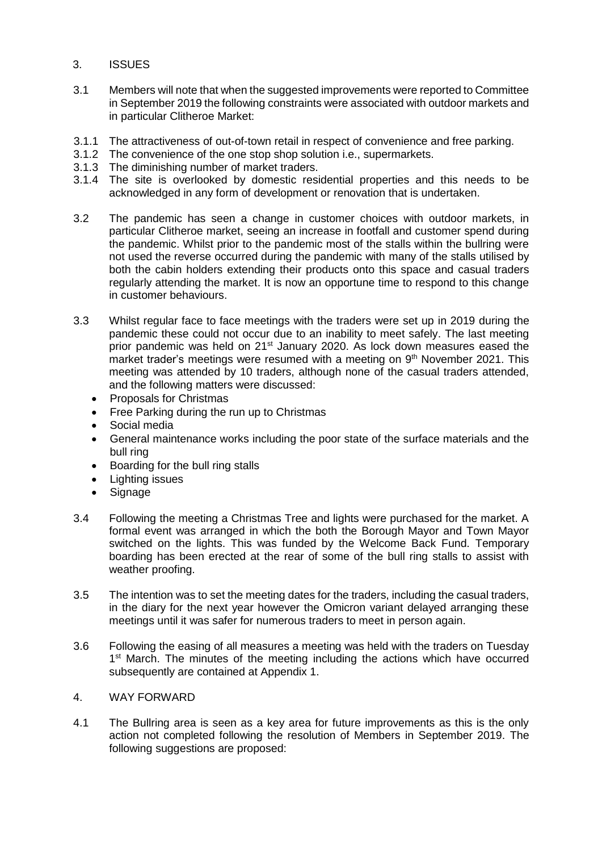- 3. ISSUES
- 3.1 Members will note that when the suggested improvements were reported to Committee in September 2019 the following constraints were associated with outdoor markets and in particular Clitheroe Market:
- 3.1.1 The attractiveness of out-of-town retail in respect of convenience and free parking.
- 3.1.2 The convenience of the one stop shop solution i.e., supermarkets.
- 3.1.3 The diminishing number of market traders.
- 3.1.4 The site is overlooked by domestic residential properties and this needs to be acknowledged in any form of development or renovation that is undertaken.
- 3.2 The pandemic has seen a change in customer choices with outdoor markets, in particular Clitheroe market, seeing an increase in footfall and customer spend during the pandemic. Whilst prior to the pandemic most of the stalls within the bullring were not used the reverse occurred during the pandemic with many of the stalls utilised by both the cabin holders extending their products onto this space and casual traders regularly attending the market. It is now an opportune time to respond to this change in customer behaviours.
- 3.3 Whilst regular face to face meetings with the traders were set up in 2019 during the pandemic these could not occur due to an inability to meet safely. The last meeting prior pandemic was held on 21<sup>st</sup> January 2020. As lock down measures eased the market trader's meetings were resumed with a meeting on  $9<sup>th</sup>$  November 2021. This meeting was attended by 10 traders, although none of the casual traders attended, and the following matters were discussed:
	- Proposals for Christmas
	- Free Parking during the run up to Christmas
	- Social media
	- General maintenance works including the poor state of the surface materials and the bull ring
	- Boarding for the bull ring stalls
	- Lighting issues
	- Signage
- 3.4 Following the meeting a Christmas Tree and lights were purchased for the market. A formal event was arranged in which the both the Borough Mayor and Town Mayor switched on the lights. This was funded by the Welcome Back Fund. Temporary boarding has been erected at the rear of some of the bull ring stalls to assist with weather proofing.
- 3.5 The intention was to set the meeting dates for the traders, including the casual traders, in the diary for the next year however the Omicron variant delayed arranging these meetings until it was safer for numerous traders to meet in person again.
- 3.6 Following the easing of all measures a meeting was held with the traders on Tuesday 1<sup>st</sup> March. The minutes of the meeting including the actions which have occurred subsequently are contained at Appendix 1.

#### 4. WAY FORWARD

4.1 The Bullring area is seen as a key area for future improvements as this is the only action not completed following the resolution of Members in September 2019. The following suggestions are proposed: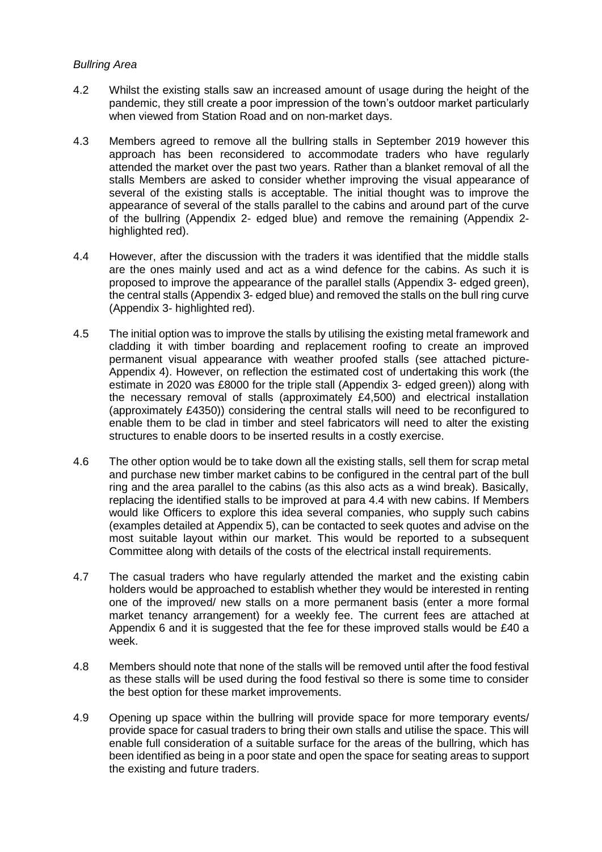#### *Bullring Area*

- 4.2 Whilst the existing stalls saw an increased amount of usage during the height of the pandemic, they still create a poor impression of the town's outdoor market particularly when viewed from Station Road and on non-market days.
- 4.3 Members agreed to remove all the bullring stalls in September 2019 however this approach has been reconsidered to accommodate traders who have regularly attended the market over the past two years. Rather than a blanket removal of all the stalls Members are asked to consider whether improving the visual appearance of several of the existing stalls is acceptable. The initial thought was to improve the appearance of several of the stalls parallel to the cabins and around part of the curve of the bullring (Appendix 2- edged blue) and remove the remaining (Appendix 2 highlighted red).
- 4.4 However, after the discussion with the traders it was identified that the middle stalls are the ones mainly used and act as a wind defence for the cabins. As such it is proposed to improve the appearance of the parallel stalls (Appendix 3- edged green), the central stalls (Appendix 3- edged blue) and removed the stalls on the bull ring curve (Appendix 3- highlighted red).
- 4.5 The initial option was to improve the stalls by utilising the existing metal framework and cladding it with timber boarding and replacement roofing to create an improved permanent visual appearance with weather proofed stalls (see attached picture-Appendix 4). However, on reflection the estimated cost of undertaking this work (the estimate in 2020 was £8000 for the triple stall (Appendix 3- edged green)) along with the necessary removal of stalls (approximately £4,500) and electrical installation (approximately £4350)) considering the central stalls will need to be reconfigured to enable them to be clad in timber and steel fabricators will need to alter the existing structures to enable doors to be inserted results in a costly exercise.
- 4.6 The other option would be to take down all the existing stalls, sell them for scrap metal and purchase new timber market cabins to be configured in the central part of the bull ring and the area parallel to the cabins (as this also acts as a wind break). Basically, replacing the identified stalls to be improved at para 4.4 with new cabins. If Members would like Officers to explore this idea several companies, who supply such cabins (examples detailed at Appendix 5), can be contacted to seek quotes and advise on the most suitable layout within our market. This would be reported to a subsequent Committee along with details of the costs of the electrical install requirements.
- 4.7 The casual traders who have regularly attended the market and the existing cabin holders would be approached to establish whether they would be interested in renting one of the improved/ new stalls on a more permanent basis (enter a more formal market tenancy arrangement) for a weekly fee. The current fees are attached at Appendix 6 and it is suggested that the fee for these improved stalls would be £40 a week.
- 4.8 Members should note that none of the stalls will be removed until after the food festival as these stalls will be used during the food festival so there is some time to consider the best option for these market improvements.
- 4.9 Opening up space within the bullring will provide space for more temporary events/ provide space for casual traders to bring their own stalls and utilise the space. This will enable full consideration of a suitable surface for the areas of the bullring, which has been identified as being in a poor state and open the space for seating areas to support the existing and future traders.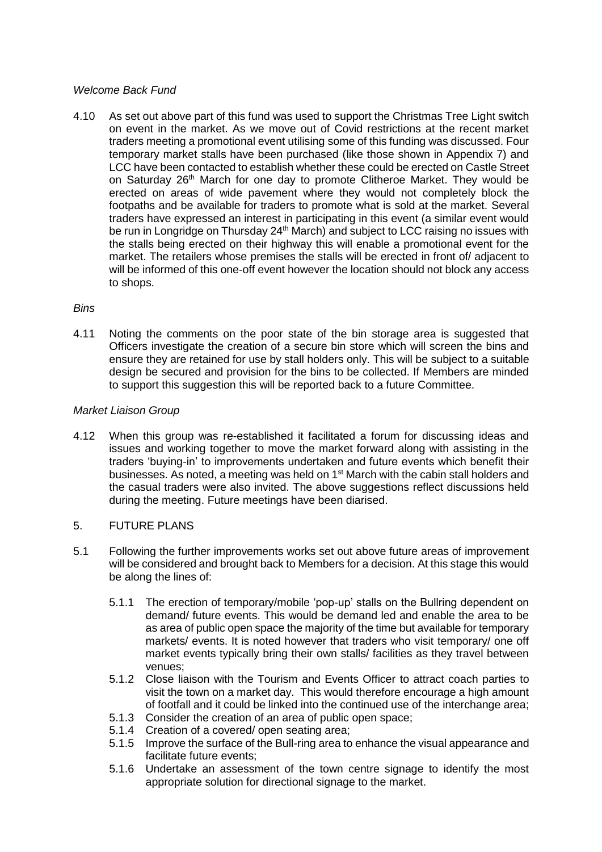#### *Welcome Back Fund*

4.10 As set out above part of this fund was used to support the Christmas Tree Light switch on event in the market. As we move out of Covid restrictions at the recent market traders meeting a promotional event utilising some of this funding was discussed. Four temporary market stalls have been purchased (like those shown in Appendix 7) and LCC have been contacted to establish whether these could be erected on Castle Street on Saturday 26<sup>th</sup> March for one day to promote Clitheroe Market. They would be erected on areas of wide pavement where they would not completely block the footpaths and be available for traders to promote what is sold at the market. Several traders have expressed an interest in participating in this event (a similar event would be run in Longridge on Thursday 24<sup>th</sup> March) and subject to LCC raising no issues with the stalls being erected on their highway this will enable a promotional event for the market. The retailers whose premises the stalls will be erected in front of/ adjacent to will be informed of this one-off event however the location should not block any access to shops.

#### *Bins*

4.11 Noting the comments on the poor state of the bin storage area is suggested that Officers investigate the creation of a secure bin store which will screen the bins and ensure they are retained for use by stall holders only. This will be subject to a suitable design be secured and provision for the bins to be collected. If Members are minded to support this suggestion this will be reported back to a future Committee.

#### *Market Liaison Group*

- 4.12 When this group was re-established it facilitated a forum for discussing ideas and issues and working together to move the market forward along with assisting in the traders 'buying-in' to improvements undertaken and future events which benefit their businesses. As noted, a meeting was held on  $1<sup>st</sup>$  March with the cabin stall holders and the casual traders were also invited. The above suggestions reflect discussions held during the meeting. Future meetings have been diarised.
- 5. FUTURE PLANS
- 5.1 Following the further improvements works set out above future areas of improvement will be considered and brought back to Members for a decision. At this stage this would be along the lines of:
	- 5.1.1 The erection of temporary/mobile 'pop-up' stalls on the Bullring dependent on demand/ future events. This would be demand led and enable the area to be as area of public open space the majority of the time but available for temporary markets/ events. It is noted however that traders who visit temporary/ one off market events typically bring their own stalls/ facilities as they travel between venues;
	- 5.1.2 Close liaison with the Tourism and Events Officer to attract coach parties to visit the town on a market day. This would therefore encourage a high amount of footfall and it could be linked into the continued use of the interchange area;
	- 5.1.3 Consider the creation of an area of public open space;
	- 5.1.4 Creation of a covered/ open seating area;
	- 5.1.5 Improve the surface of the Bull-ring area to enhance the visual appearance and facilitate future events;
	- 5.1.6 Undertake an assessment of the town centre signage to identify the most appropriate solution for directional signage to the market.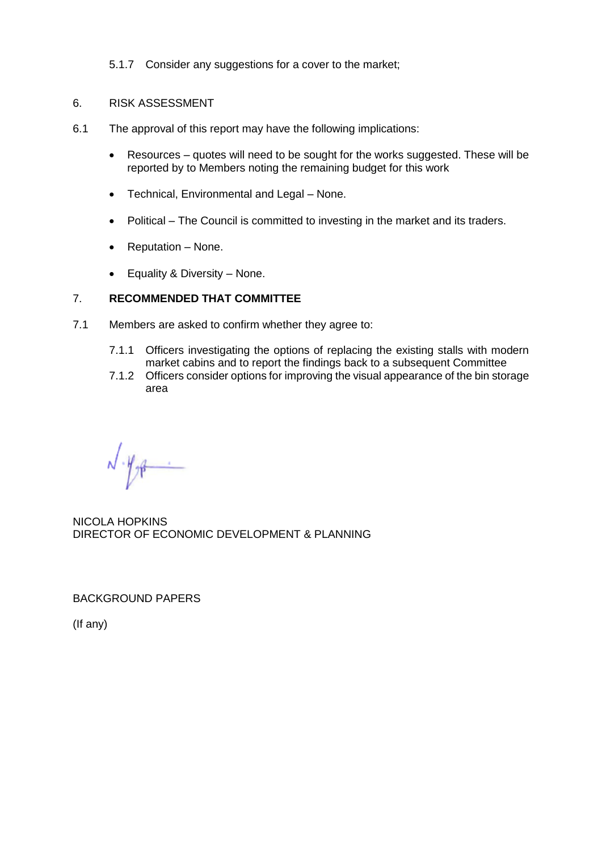5.1.7 Consider any suggestions for a cover to the market:

#### 6. RISK ASSESSMENT

- 6.1 The approval of this report may have the following implications:
	- Resources quotes will need to be sought for the works suggested. These will be reported by to Members noting the remaining budget for this work
	- Technical, Environmental and Legal None.
	- Political The Council is committed to investing in the market and its traders.
	- $\bullet$  Reputation None.
	- Equality & Diversity None.

#### 7. **RECOMMENDED THAT COMMITTEE**

- 7.1 Members are asked to confirm whether they agree to:
	- 7.1.1 Officers investigating the options of replacing the existing stalls with modern market cabins and to report the findings back to a subsequent Committee
	- 7.1.2 Officers consider options for improving the visual appearance of the bin storage area

 $-\frac{1}{2}$ 

NICOLA HOPKINS DIRECTOR OF ECONOMIC DEVELOPMENT & PLANNING

BACKGROUND PAPERS

(If any)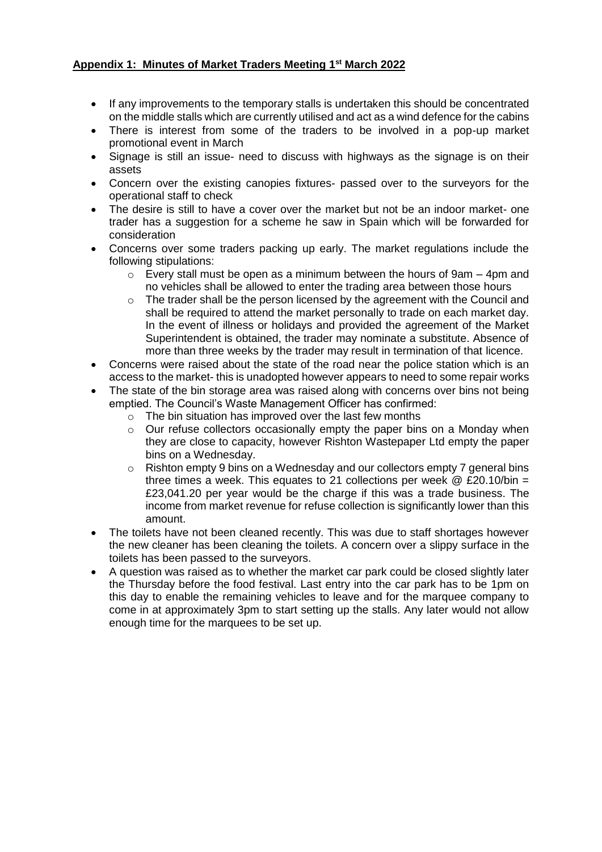#### **Appendix 1: Minutes of Market Traders Meeting 1st March 2022**

- If any improvements to the temporary stalls is undertaken this should be concentrated on the middle stalls which are currently utilised and act as a wind defence for the cabins
- There is interest from some of the traders to be involved in a pop-up market promotional event in March
- Signage is still an issue- need to discuss with highways as the signage is on their assets
- Concern over the existing canopies fixtures- passed over to the surveyors for the operational staff to check
- The desire is still to have a cover over the market but not be an indoor market- one trader has a suggestion for a scheme he saw in Spain which will be forwarded for consideration
- Concerns over some traders packing up early. The market regulations include the following stipulations:
	- $\circ$  Every stall must be open as a minimum between the hours of 9am 4pm and no vehicles shall be allowed to enter the trading area between those hours
	- $\circ$  The trader shall be the person licensed by the agreement with the Council and shall be required to attend the market personally to trade on each market day. In the event of illness or holidays and provided the agreement of the Market Superintendent is obtained, the trader may nominate a substitute. Absence of more than three weeks by the trader may result in termination of that licence.
- Concerns were raised about the state of the road near the police station which is an access to the market- this is unadopted however appears to need to some repair works
- The state of the bin storage area was raised along with concerns over bins not being emptied. The Council's Waste Management Officer has confirmed:
	- $\circ$  The bin situation has improved over the last few months
	- o Our refuse collectors occasionally empty the paper bins on a Monday when they are close to capacity, however Rishton Wastepaper Ltd empty the paper bins on a Wednesday.
	- $\circ$  Rishton empty 9 bins on a Wednesday and our collectors empty 7 general bins three times a week. This equates to 21 collections per week  $\omega$  £20.10/bin = £23,041.20 per year would be the charge if this was a trade business. The income from market revenue for refuse collection is significantly lower than this amount.
- The toilets have not been cleaned recently. This was due to staff shortages however the new cleaner has been cleaning the toilets. A concern over a slippy surface in the toilets has been passed to the surveyors.
- A question was raised as to whether the market car park could be closed slightly later the Thursday before the food festival. Last entry into the car park has to be 1pm on this day to enable the remaining vehicles to leave and for the marquee company to come in at approximately 3pm to start setting up the stalls. Any later would not allow enough time for the marquees to be set up.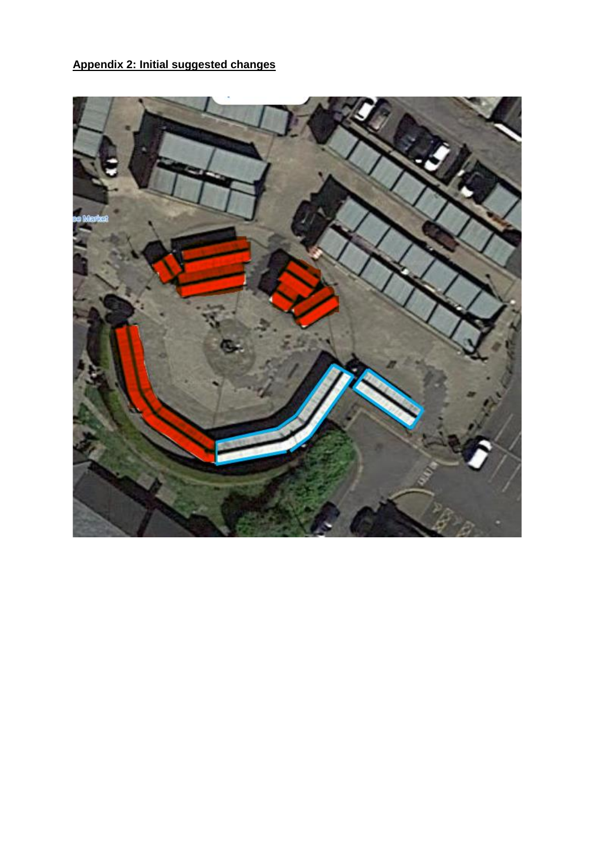## **Appendix 2: Initial suggested changes**

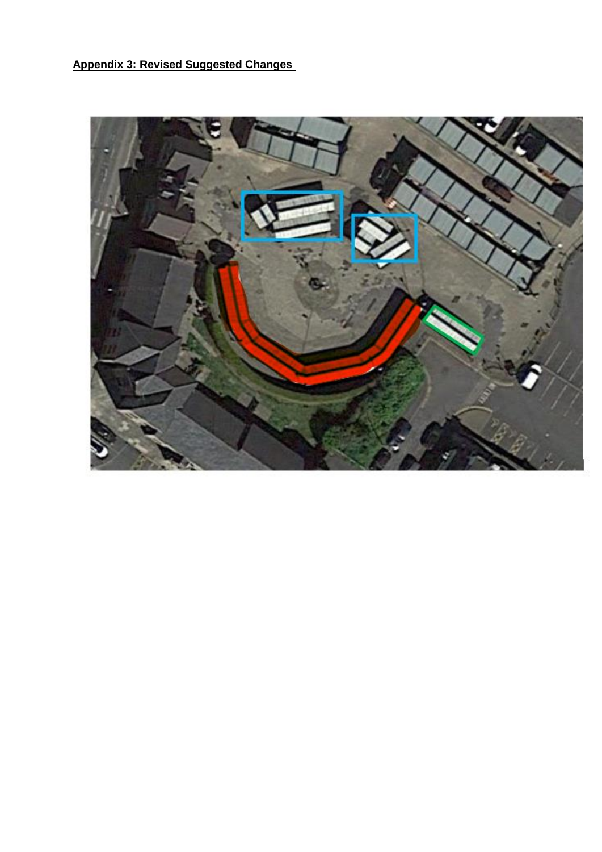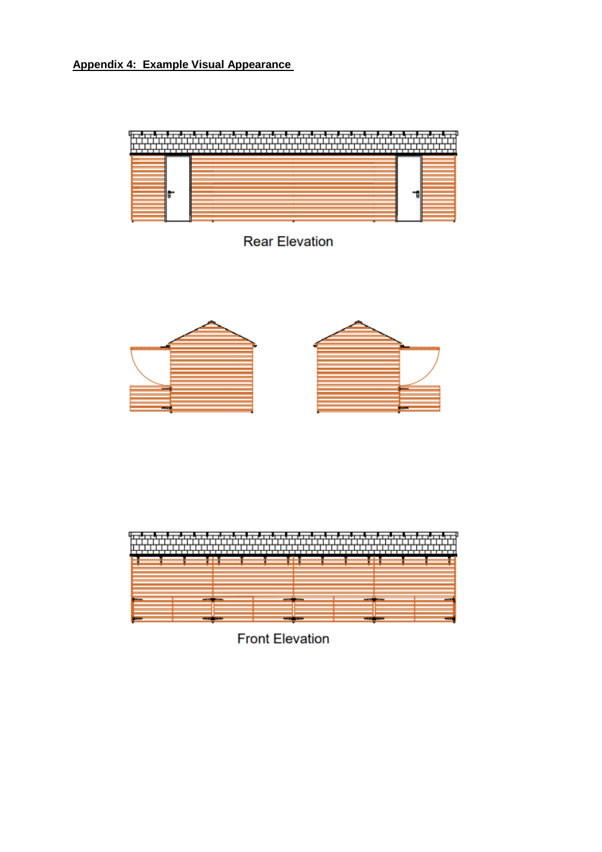### **Appendix 4: Example Visual Appearance**



## **Rear Elevation**



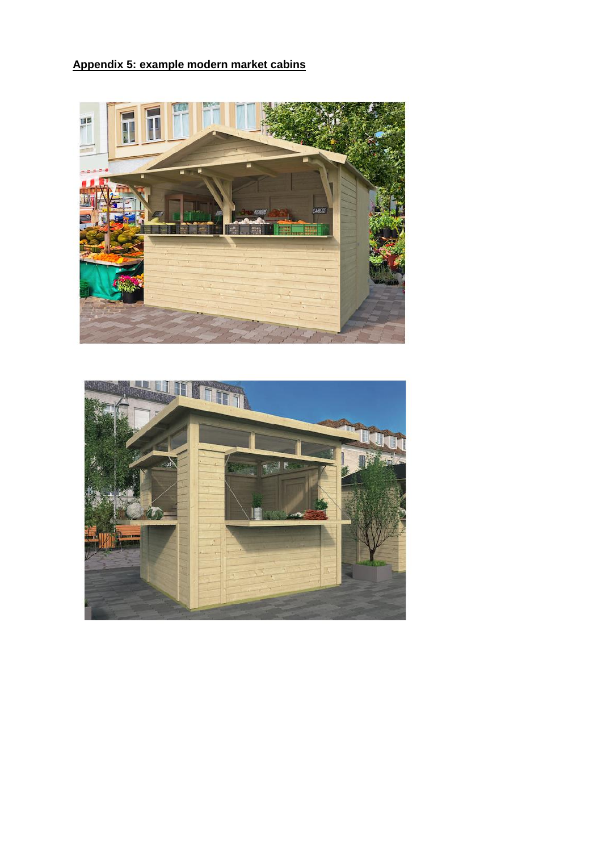## **Appendix 5: example modern market cabins**



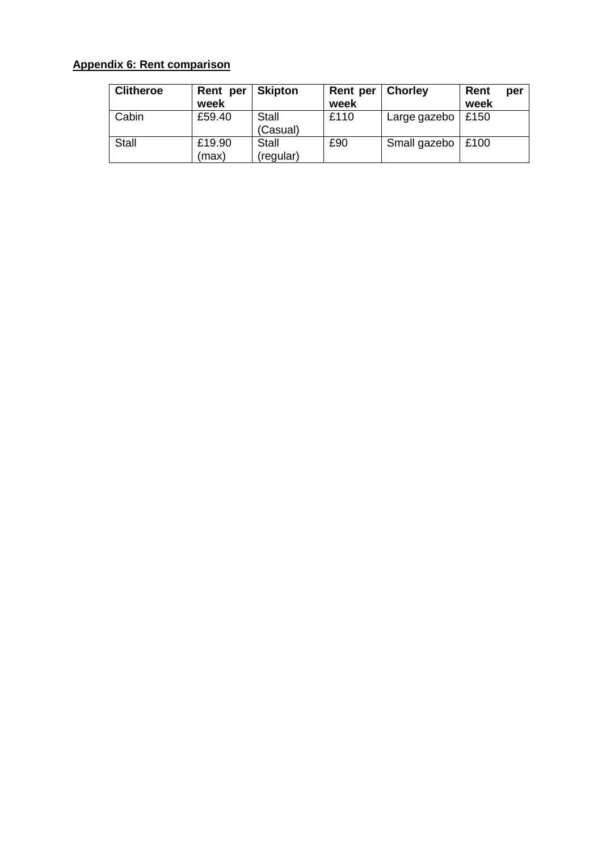### **Appendix 6: Rent comparison**

| <b>Clitheroe</b> | Rent per<br>week | <b>Skipton</b>           | Rent per<br>week | <b>Chorley</b>      | Rent<br>week | per |
|------------------|------------------|--------------------------|------------------|---------------------|--------------|-----|
| Cabin            | £59.40           | <b>Stall</b><br>(Casual) | £110             | Large gazebo   £150 |              |     |
| <b>Stall</b>     | £19.90<br>(max   | Stall<br>(regular)       | £90              | Small gazebo   £100 |              |     |